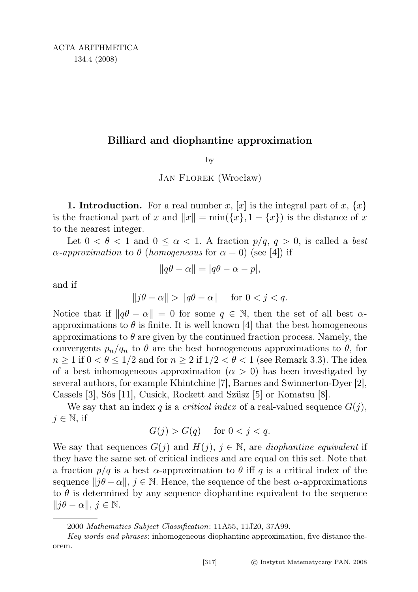## Billiard and diophantine approximation

by

Jan Florek (Wrocław)

**1. Introduction.** For a real number x, [x] is the integral part of x,  $\{x\}$ is the fractional part of x and  $||x|| = min({x}, 1 - {x})$  is the distance of x to the nearest integer.

Let  $0 < \theta < 1$  and  $0 \leq \alpha < 1$ . A fraction  $p/q$ ,  $q > 0$ , is called a best  $\alpha$ -approximation to  $\theta$  (homogeneous for  $\alpha = 0$ ) (see [4]) if

$$
||q\theta - \alpha|| = |q\theta - \alpha - p|,
$$

and if

$$
\|j\theta - \alpha\| > \|q\theta - \alpha\| \quad \text{for } 0 < j < q.
$$

Notice that if  $\|q\theta - \alpha\| = 0$  for some  $q \in \mathbb{N}$ , then the set of all best  $\alpha$ approximations to  $\theta$  is finite. It is well known [4] that the best homogeneous approximations to  $\theta$  are given by the continued fraction process. Namely, the convergents  $p_n/q_n$  to  $\theta$  are the best homogeneous approximations to  $\theta$ , for  $n \geq 1$  if  $0 < \theta \leq 1/2$  and for  $n \geq 2$  if  $1/2 < \theta < 1$  (see Remark 3.3). The idea of a best inhomogeneous approximation  $(\alpha > 0)$  has been investigated by several authors, for example Khintchine [7], Barnes and Swinnerton-Dyer [2], Cassels [3], Sós [11], Cusick, Rockett and Szüsz [5] or Komatsu [8].

We say that an index q is a *critical index* of a real-valued sequence  $G(j)$ ,  $j \in \mathbb{N}$ , if

$$
G(j) > G(q) \quad \text{ for } 0 < j < q.
$$

We say that sequences  $G(j)$  and  $H(j)$ ,  $j \in \mathbb{N}$ , are *diophantine equivalent* if they have the same set of critical indices and are equal on this set. Note that a fraction  $p/q$  is a best  $\alpha$ -approximation to  $\theta$  iff q is a critical index of the sequence  $||j\theta - \alpha||$ ,  $j \in \mathbb{N}$ . Hence, the sequence of the best  $\alpha$ -approximations to  $\theta$  is determined by any sequence diophantine equivalent to the sequence  $||j\theta - \alpha||, j \in \mathbb{N}.$ 

<sup>2000</sup> Mathematics Subject Classification: 11A55, 11J20, 37A99.

Key words and phrases: inhomogeneous diophantine approximation, five distance theorem.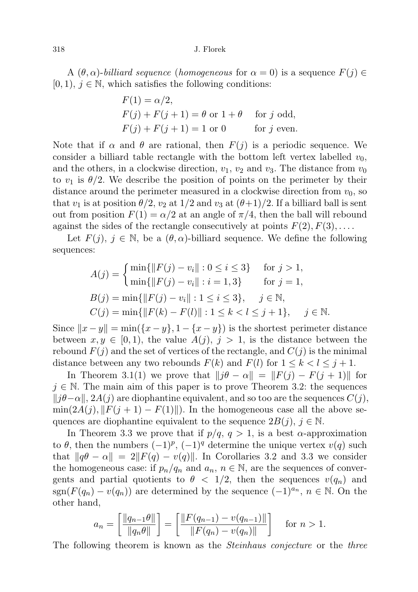318 J. Florek

A  $(\theta, \alpha)$ -billiard sequence (homogeneous for  $\alpha = 0$ ) is a sequence  $F(j) \in$  $[0, 1), j \in \mathbb{N}$ , which satisfies the following conditions:

$$
F(1) = \alpha/2,
$$
  
\n
$$
F(j) + F(j+1) = \theta \text{ or } 1 + \theta \quad \text{for } j \text{ odd},
$$
  
\n
$$
F(j) + F(j+1) = 1 \text{ or } 0 \quad \text{for } j \text{ even}.
$$

Note that if  $\alpha$  and  $\theta$  are rational, then  $F(j)$  is a periodic sequence. We consider a billiard table rectangle with the bottom left vertex labelled  $v_0$ , and the others, in a clockwise direction,  $v_1$ ,  $v_2$  and  $v_3$ . The distance from  $v_0$ to  $v_1$  is  $\theta/2$ . We describe the position of points on the perimeter by their distance around the perimeter measured in a clockwise direction from  $v_0$ , so that  $v_1$  is at position  $\theta/2$ ,  $v_2$  at  $1/2$  and  $v_3$  at  $(\theta+1)/2$ . If a billiard ball is sent out from position  $F(1) = \alpha/2$  at an angle of  $\pi/4$ , then the ball will rebound against the sides of the rectangle consecutively at points  $F(2), F(3), \ldots$ .

Let  $F(j), j \in \mathbb{N}$ , be a  $(\theta, \alpha)$ -billiard sequence. We define the following sequences:

$$
A(j) = \begin{cases} \min\{\|F(j) - v_i\| : 0 \le i \le 3\} & \text{for } j > 1, \\ \min\{\|F(j) - v_i\| : i = 1, 3\} & \text{for } j = 1, \end{cases}
$$
\n
$$
B(j) = \min\{\|F(j) - v_i\| : 1 \le i \le 3\}, \quad j \in \mathbb{N},
$$
\n
$$
C(j) = \min\{\|F(k) - F(l)\| : 1 \le k < l \le j + 1\}, \quad j \in \mathbb{N}.
$$

Since  $||x - y|| = \min({x - y}, 1 - {x - y})$  is the shortest perimeter distance between  $x, y \in [0, 1)$ , the value  $A(j), j > 1$ , is the distance between the rebound  $F(j)$  and the set of vertices of the rectangle, and  $C(j)$  is the minimal distance between any two rebounds  $F(k)$  and  $F(l)$  for  $1 \leq k \leq l \leq j+1$ .

In Theorem 3.1(1) we prove that  $||j\theta - \alpha|| = ||F(j) - F(j + 1)||$  for  $j \in \mathbb{N}$ . The main aim of this paper is to prove Theorem 3.2: the sequences  $||j\theta-\alpha||$ , 2A(j) are diophantine equivalent, and so too are the sequences  $C(j)$ ,  $\min(2A(j), ||F(j + 1) - F(1)||)$ . In the homogeneous case all the above sequences are diophantine equivalent to the sequence  $2B(j), j \in \mathbb{N}$ .

In Theorem 3.3 we prove that if  $p/q$ ,  $q > 1$ , is a best  $\alpha$ -approximation to  $\theta$ , then the numbers  $(-1)^p$ ,  $(-1)^q$  determine the unique vertex  $v(q)$  such that  $\|\hat{q}\theta - \alpha\| = 2\|F(q) - v(q)\|$ . In Corollaries 3.2 and 3.3 we consider the homogeneous case: if  $p_n/q_n$  and  $a_n, n \in \mathbb{N}$ , are the sequences of convergents and partial quotients to  $\theta < 1/2$ , then the sequences  $v(q_n)$  and  $sgn(F(q_n) - v(q_n))$  are determined by the sequence  $(-1)^{a_n}$ ,  $n \in \mathbb{N}$ . On the other hand,

$$
a_n = \left[\frac{\|q_{n-1}\theta\|}{\|q_n\theta\|}\right] = \left[\frac{\|F(q_{n-1}) - v(q_{n-1})\|}{\|F(q_n) - v(q_n)\|}\right] \quad \text{for } n > 1.
$$

The following theorem is known as the *Steinhaus conjecture* or the *three*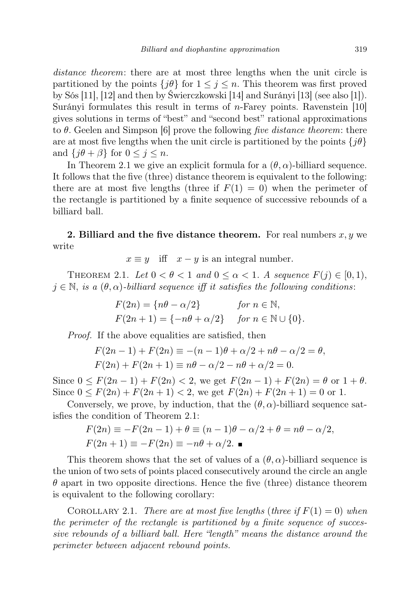distance theorem: there are at most three lengths when the unit circle is partitioned by the points  $\{j\theta\}$  for  $1 \leq j \leq n$ . This theorem was first proved by Sós [11], [12] and then by Świerczkowski [14] and Surányi [13] (see also [1]). Surányi formulates this result in terms of n-Farey points. Ravenstein [10] gives solutions in terms of "best" and "second best" rational approximations to  $\theta$ . Geelen and Simpson [6] prove the following five distance theorem: there are at most five lengths when the unit circle is partitioned by the points  $\{j\theta\}$ and  ${j\theta + \beta}$  for  $0 \leq j \leq n$ .

In Theorem 2.1 we give an explicit formula for a  $(\theta, \alpha)$ -billiard sequence. It follows that the five (three) distance theorem is equivalent to the following: there are at most five lengths (three if  $F(1) = 0$ ) when the perimeter of the rectangle is partitioned by a finite sequence of successive rebounds of a billiard ball.

2. Billiard and the five distance theorem. For real numbers  $x, y$  we write

 $x \equiv y$  iff  $x - y$  is an integral number.

THEOREM 2.1. Let  $0 < \theta < 1$  and  $0 \leq \alpha < 1$ . A sequence  $F(j) \in [0, 1)$ ,  $j \in \mathbb{N}$ , is a  $(\theta, \alpha)$ -billiard sequence iff it satisfies the following conditions:

$$
F(2n) = \{n\theta - \alpha/2\} \quad \text{for } n \in \mathbb{N},
$$
  
 
$$
F(2n+1) = \{-n\theta + \alpha/2\} \quad \text{for } n \in \mathbb{N} \cup \{0\}.
$$

Proof. If the above equalities are satisfied, then

$$
F(2n - 1) + F(2n) \equiv -(n - 1)\theta + \alpha/2 + n\theta - \alpha/2 = \theta,
$$
  
 
$$
F(2n) + F(2n + 1) \equiv n\theta - \alpha/2 - n\theta + \alpha/2 = 0.
$$

Since  $0 \le F(2n-1) + F(2n) < 2$ , we get  $F(2n-1) + F(2n) = \theta$  or  $1 + \theta$ . Since  $0 \leq F(2n) + F(2n+1) < 2$ , we get  $F(2n) + F(2n+1) = 0$  or 1.

Conversely, we prove, by induction, that the  $(\theta, \alpha)$ -billiard sequence satisfies the condition of Theorem 2.1:

$$
F(2n) \equiv -F(2n-1) + \theta \equiv (n-1)\theta - \alpha/2 + \theta = n\theta - \alpha/2,
$$
  
 
$$
F(2n+1) \equiv -F(2n) \equiv -n\theta + \alpha/2.
$$

This theorem shows that the set of values of a  $(\theta, \alpha)$ -billiard sequence is the union of two sets of points placed consecutively around the circle an angle  $\theta$  apart in two opposite directions. Hence the five (three) distance theorem is equivalent to the following corollary:

COROLLARY 2.1. There are at most five lengths (three if  $F(1) = 0$ ) when the perimeter of the rectangle is partitioned by a finite sequence of successive rebounds of a billiard ball. Here "length" means the distance around the perimeter between adjacent rebound points.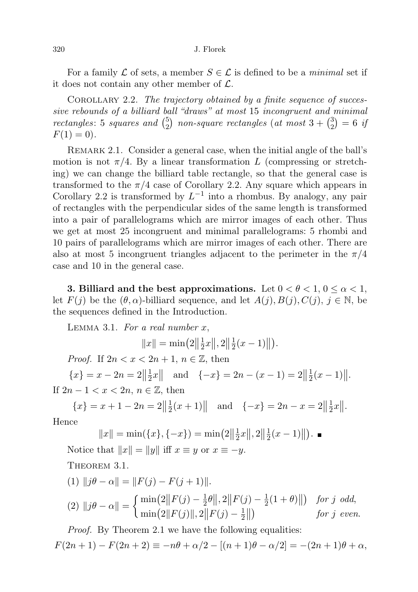## 320 J. Florek

For a family  $\mathcal L$  of sets, a member  $S \in \mathcal L$  is defined to be a *minimal* set if it does not contain any other member of  $\mathcal{L}$ .

COROLLARY 2.2. The trajectory obtained by a finite sequence of successive rebounds of a billiard ball "draws" at most 15 incongruent and minimal rectangles: 5 squares and  $\binom{5}{2}$  $_{2}^{5}$ ) non-square rectangles (at most  $3 + {3 \choose 2}$  $\binom{3}{2} = 6$  if  $F(1) = 0$ .

Remark 2.1. Consider a general case, when the initial angle of the ball's motion is not  $\pi/4$ . By a linear transformation L (compressing or stretching) we can change the billiard table rectangle, so that the general case is transformed to the  $\pi/4$  case of Corollary 2.2. Any square which appears in Corollary 2.2 is transformed by  $L^{-1}$  into a rhombus. By analogy, any pair of rectangles with the perpendicular sides of the same length is transformed into a pair of parallelograms which are mirror images of each other. Thus we get at most 25 incongruent and minimal parallelograms: 5 rhombi and 10 pairs of parallelograms which are mirror images of each other. There are also at most 5 incongruent triangles adjacent to the perimeter in the  $\pi/4$ case and 10 in the general case.

3. Billiard and the best approximations. Let  $0 < \theta < 1$ ,  $0 \le \alpha < 1$ , let  $F(j)$  be the  $(\theta, \alpha)$ -billiard sequence, and let  $A(j), B(j), C(j), j \in \mathbb{N}$ , be the sequences defined in the Introduction.

LEMMA 3.1. For a real number  $x$ ,

$$
||x|| = \min(2||\frac{1}{2}x||, 2||\frac{1}{2}(x-1)||).
$$

*Proof.* If  $2n < x < 2n + 1$ ,  $n \in \mathbb{Z}$ , then

 ${x} = x - 2n = 2 \left\| \frac{1}{2} \right\|$  $\frac{1}{2}x \parallel$  and  $\{-x\} = 2n - (x - 1) = 2\left\|\frac{1}{2}\right\|$  $\frac{1}{2}(x-1)$ ||. If  $2n - 1 < x < 2n$ ,  $n \in \mathbb{Z}$ , then

 ${x} = x + 1 - 2n = 2 \left\| \frac{1}{2} \right\|$  $\frac{1}{2}(x+1)$  and  $\{-x\} = 2n - x = 2\left\|\frac{1}{2}\right\|$  $rac{1}{2}x$ .

Hence

$$
||x|| = \min(\{x\}, \{-x\}) = \min(2||\frac{1}{2}x||, 2||\frac{1}{2}(x-1)||).
$$

Notice that  $||x|| = ||y||$  iff  $x \equiv y$  or  $x \equiv -y$ .

THEOREM 3.1.

(1) 
$$
||j\theta - \alpha|| = ||F(j) - F(j+1)||
$$
.  
\n(2)  $||j\theta - \alpha|| = \begin{cases} \min(2||F(j) - \frac{1}{2}\theta||, 2||F(j) - \frac{1}{2}(1+\theta)||) & \text{for } j \text{ odd,} \\ \min(2||F(j)||, 2||F(j) - \frac{1}{2}||) & \text{for } j \text{ even.} \end{cases}$ 

Proof. By Theorem 2.1 we have the following equalities:  $F(2n + 1) - F(2n + 2) \equiv -n\theta + \alpha/2 - [(n + 1)\theta - \alpha/2] = -(2n + 1)\theta + \alpha,$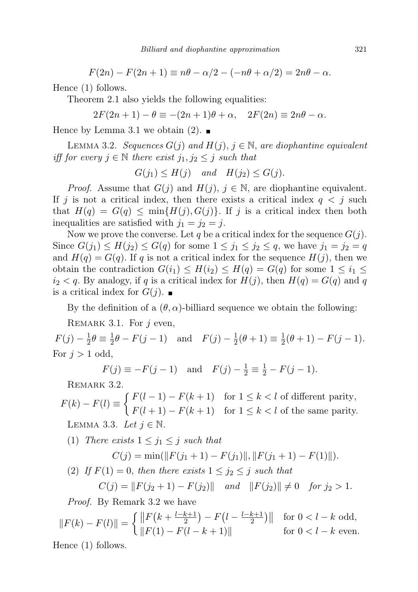$F(2n) - F(2n+1) \equiv n\theta - \alpha/2 - (-n\theta + \alpha/2) = 2n\theta - \alpha.$ 

Hence (1) follows.

Theorem 2.1 also yields the following equalities:

 $2F(2n+1) - \theta \equiv -(2n+1)\theta + \alpha$ ,  $2F(2n) \equiv 2n\theta - \alpha$ .

Hence by Lemma 3.1 we obtain  $(2)$ .

LEMMA 3.2. Sequences  $G(j)$  and  $H(j)$ ,  $j \in \mathbb{N}$ , are diophantine equivalent iff for every  $j \in \mathbb{N}$  there exist  $j_1, j_2 \leq j$  such that

 $G(j_1) \leq H(j)$  and  $H(j_2) \leq G(j)$ .

*Proof.* Assume that  $G(j)$  and  $H(j)$ ,  $j \in \mathbb{N}$ , are diophantine equivalent. If j is not a critical index, then there exists a critical index  $q < j$  such that  $H(q) = G(q) \le \min\{H(j), G(j)\}\$ . If j is a critical index then both inequalities are satisfied with  $j_1 = j_2 = j$ .

Now we prove the converse. Let q be a critical index for the sequence  $G(j)$ . Since  $G(j_1) \le H(j_2) \le G(q)$  for some  $1 \le j_1 \le j_2 \le q$ , we have  $j_1 = j_2 = q$ and  $H(q) = G(q)$ . If q is not a critical index for the sequence  $H(j)$ , then we obtain the contradiction  $G(i_1) \leq H(i_2) \leq H(q) = G(q)$  for some  $1 \leq i_1 \leq j_2$  $i_2 < q$ . By analogy, if q is a critical index for  $H(j)$ , then  $H(q) = G(q)$  and q is a critical index for  $G(j)$ .

By the definition of a  $(\theta, \alpha)$ -billiard sequence we obtain the following:

REMARK 3.1. For  $i$  even,

 $F(j) - \frac{1}{2}$  $\frac{1}{2}\theta \equiv \frac{1}{2}$  $\frac{1}{2}\theta - F(j-1)$  and  $F(j) - \frac{1}{2}$  $\frac{1}{2}(\theta + 1) \equiv \frac{1}{2}$  $\frac{1}{2}(\theta + 1) - F(j - 1).$ For  $j > 1$  odd,

 $F(j) \equiv -F(j-1)$  and  $F(j) - \frac{1}{2} \equiv \frac{1}{2} - F(j-1)$ .

REMARK 3.2.

 $F(k) - F(l) \equiv \begin{cases} F(l-1) - F(k+1) & \text{for } 1 \leq k < l \text{ of different parity,} \\ F(l+1) - F(l+1) & \text{for } l \leq k < l \text{ of different parity,} \end{cases}$  $F(l + 1) - F(k + 1)$  for  $1 \leq k < l$  of the same parity. LEMMA 3.3. Let  $j \in \mathbb{N}$ .

(1) There exists 
$$
1 \le j_1 \le j
$$
 such that  
\n
$$
C(j) = \min(\|F(j_1 + 1) - F(j_1)\|, \|F(j_1 + 1) - F(1)\|).
$$

(2) If  $F(1) = 0$ , then there exists  $1 \leq j_2 \leq j$  such that  $C(j) = ||F(j_2 + 1) - F(j_2)||$  and  $||F(j_2)|| \neq 0$  for  $j_2 > 1$ .

Proof. By Remark 3.2 we have

$$
||F(k) - F(l)|| = \begin{cases} ||F(k + \frac{l-k+1}{2}) - F(l - \frac{l-k+1}{2})|| & \text{for } 0 < l - k \text{ odd,} \\ ||F(1) - F(l - k + 1)|| & \text{for } 0 < l - k \text{ even.} \end{cases}
$$
  
Hence (1) follows

Hence (1) follows.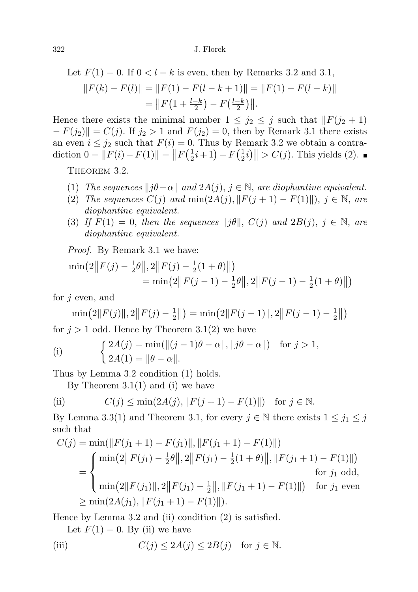Let 
$$
F(1) = 0
$$
. If  $0 < l - k$  is even, then by Remarks 3.2 and 3.1,  
\n
$$
||F(k) - F(l)|| = ||F(1) - F(l - k + 1)|| = ||F(1) - F(l - k)||
$$
\n
$$
= ||F(1 + \frac{l - k}{2}) - F(\frac{l - k}{2})||.
$$

Hence there exists the minimal number  $1 \leq j_2 \leq j$  such that  $\|F(j_2 + 1)\|$  $-F(j_2)\| = C(j)$ . If  $j_2 > 1$  and  $F(j_2) = 0$ , then by Remark 3.1 there exists an even  $i \leq j_2$  such that  $F(i) = 0$ . Thus by Remark 3.2 we obtain a contradiction  $0 = ||F(i) - F(1)|| = ||F(\frac{1}{2})$  $(\frac{1}{2}i+1) - F(\frac{1}{2})$  $\left|\frac{1}{2}i\right|\right| > C(j)$ . This yields (2).

THEOREM 3.2.

- (1) The sequences  $||j\theta-\alpha||$  and  $2A(j), j \in \mathbb{N}$ , are diophantine equivalent.
- (2) The sequences  $C(j)$  and  $\min(2A(j), ||F(j + 1) F(1)||), j \in \mathbb{N}$ , are diophantine equivalent.
- (3) If  $F(1) = 0$ , then the sequences  $||j\theta||$ ,  $C(j)$  and  $2B(j)$ ,  $j \in \mathbb{N}$ , are diophantine equivalent.

Proof. By Remark 3.1 we have:

$$
\begin{aligned} \min(2||F(j) - \frac{1}{2}\theta||, 2||F(j) - \frac{1}{2}(1+\theta)||) \\ &= \min(2||F(j-1) - \frac{1}{2}\theta||, 2||F(j-1) - \frac{1}{2}(1+\theta)||) \end{aligned}
$$

for  $j$  even, and

$$
\min(2||F(j)||, 2||F(j) - \frac{1}{2}||) = \min(2||F(j-1)||, 2||F(j-1) - \frac{1}{2}||)
$$

for  $j > 1$  odd. Hence by Theorem 3.1(2) we have

(i) 
$$
\begin{cases} 2A(j) = \min(||(j-1)\theta - \alpha||, ||j\theta - \alpha||) & \text{for } j > 1, \\ 2A(1) = ||\theta - \alpha||. \end{cases}
$$

Thus by Lemma 3.2 condition (1) holds.

By Theorem  $3.1(1)$  and (i) we have

(ii) 
$$
C(j) \le \min(2A(j), ||F(j + 1) - F(1)||)
$$
 for  $j \in \mathbb{N}$ .

By Lemma 3.3(1) and Theorem 3.1, for every  $j \in \mathbb{N}$  there exists  $1 \leq j_1 \leq j$ such that

$$
C(j) = \min(||F(j_1 + 1) - F(j_1)||, ||F(j_1 + 1) - F(1)||)
$$
  
= 
$$
\begin{cases} \min(2||F(j_1) - \frac{1}{2}\theta||, 2||F(j_1) - \frac{1}{2}(1 + \theta)||, ||F(j_1 + 1) - F(1)||) \\ \min(2||F(j_1)||, 2||F(j_1) - \frac{1}{2}||, ||F(j_1 + 1) - F(1)||) \end{cases}
$$
 for  $j_1$  odd,  

$$
\geq \min(2A(j_1), ||F(j_1 + 1) - F(1)||).
$$

Hence by Lemma 3.2 and (ii) condition (2) is satisfied.

Let  $F(1) = 0$ . By (ii) we have

(iii) 
$$
C(j) \le 2A(j) \le 2B(j) \text{ for } j \in \mathbb{N}.
$$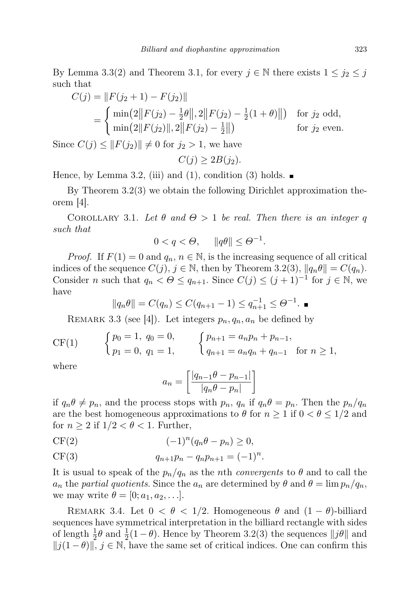By Lemma 3.3(2) and Theorem 3.1, for every  $j \in \mathbb{N}$  there exists  $1 \leq j_2 \leq j$ such that

$$
C(j) = ||F(j_2 + 1) - F(j_2)||
$$
  
= 
$$
\begin{cases} \min(2||F(j_2) - \frac{1}{2}\theta||, 2||F(j_2) - \frac{1}{2}(1 + \theta)||) & \text{for } j_2 \text{ odd,} \\ \min(2||F(j_2)||, 2||F(j_2) - \frac{1}{2}||) & \text{for } j_2 \text{ even.} \end{cases}
$$

Since  $C(j) \leq ||F(j_2)|| \neq 0$  for  $j_2 > 1$ , we have

$$
C(j) \ge 2B(j_2).
$$

Hence, by Lemma 3.2, (iii) and (1), condition (3) holds.  $\blacksquare$ 

By Theorem 3.2(3) we obtain the following Dirichlet approximation theorem [4].

COROLLARY 3.1. Let  $\theta$  and  $\Theta > 1$  be real. Then there is an integer q such that

$$
0 < q < \Theta, \quad \|q\theta\| \le \Theta^{-1}.
$$

*Proof.* If  $F(1) = 0$  and  $q_n, n \in \mathbb{N}$ , is the increasing sequence of all critical indices of the sequence  $C(j)$ ,  $j \in \mathbb{N}$ , then by Theorem 3.2(3),  $||q_n\theta|| = C(q_n)$ . Consider n such that  $q_n < \Theta \leq q_{n+1}$ . Since  $C(j) \leq (j+1)^{-1}$  for  $j \in \mathbb{N}$ , we have

$$
||q_n\theta|| = C(q_n) \le C(q_{n+1} - 1) \le q_{n+1}^{-1} \le \Theta^{-1}.
$$

REMARK 3.3 (see [4]). Let integers  $p_n, q_n, a_n$  be defined by

CF(1) 
$$
\begin{cases} p_0 = 1, q_0 = 0, \\ p_1 = 0, q_1 = 1, \end{cases} \qquad \begin{cases} p_{n+1} = a_n p_n + p_{n-1}, \\ q_{n+1} = a_n q_n + q_{n-1} \end{cases} \text{ for } n \ge 1,
$$

where

$$
a_n = \left[\frac{|q_{n-1}\theta - p_{n-1}|}{|q_n\theta - p_n|}\right]
$$

if  $q_n\theta \neq p_n$ , and the process stops with  $p_n$ ,  $q_n$  if  $q_n\theta = p_n$ . Then the  $p_n/q_n$ are the best homogeneous approximations to  $\theta$  for  $n \geq 1$  if  $0 < \theta \leq 1/2$  and for  $n \geq 2$  if  $1/2 < \theta < 1$ . Further,

$$
CF(2) \qquad \qquad (-1)^n (q_n \theta - p_n) \ge 0,
$$

CF(3) 
$$
q_{n+1}p_n - q_n p_{n+1} = (-1)^n.
$$

It is usual to speak of the  $p_n/q_n$  as the *n*th *convergents* to  $\theta$  and to call the  $a_n$  the partial quotients. Since the  $a_n$  are determined by  $\theta$  and  $\theta = \lim p_n/q_n$ , we may write  $\theta = [0; a_1, a_2, \ldots].$ 

REMARK 3.4. Let  $0 < \theta < 1/2$ . Homogeneous  $\theta$  and  $(1 - \theta)$ -billiard sequences have symmetrical interpretation in the billiard rectangle with sides of length  $\frac{1}{2}\theta$  and  $\frac{1}{2}(1-\theta)$ . Hence by Theorem 3.2(3) the sequences  $||j\theta||$  and  $||j(1 - \theta)||$ ,  $j \in \mathbb{N}$ , have the same set of critical indices. One can confirm this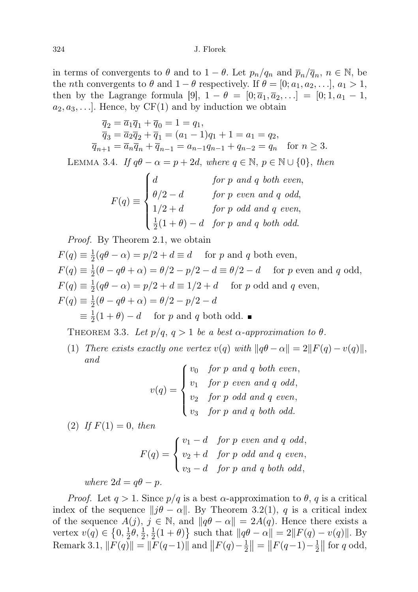in terms of convergents to  $\theta$  and to  $1 - \theta$ . Let  $p_n/q_n$  and  $\overline{p}_n/\overline{q}_n$ ,  $n \in \mathbb{N}$ , be the *n*th convergents to  $\theta$  and  $1 - \theta$  respectively. If  $\theta = [0; a_1, a_2, \ldots], a_1 > 1$ , then by the Lagrange formula [9],  $1 - \theta = [0; \bar{a}_1, \bar{a}_2, \ldots] = [0; 1, a_1 - 1,$  $a_2, a_3, \ldots$ . Hence, by CF(1) and by induction we obtain

$$
\overline{q}_2 = \overline{a}_1 \overline{q}_1 + \overline{q}_0 = 1 = q_1,\n\overline{q}_3 = \overline{a}_2 \overline{q}_2 + \overline{q}_1 = (a_1 - 1)q_1 + 1 = a_1 = q_2,\n\overline{q}_{n+1} = \overline{a}_n \overline{q}_n + \overline{q}_{n-1} = a_{n-1}q_{n-1} + q_{n-2} = q_n \text{ for } n \ge 3.
$$

LEMMA 3.4. If  $q\theta - \alpha = p + 2d$ , where  $q \in \mathbb{N}$ ,  $p \in \mathbb{N} \cup \{0\}$ , then

 $F(q) \equiv$  $\sqrt{ }$  $\int$  $\overline{\mathcal{L}}$ d for p and q both even,  $\theta/2 - d$  for p even and q odd,  $1/2 + d$  for p odd and q even, 1  $\frac{1}{2}(1+\theta)-d$  for p and q both odd.

Proof. By Theorem 2.1, we obtain

$$
F(q) \equiv \frac{1}{2}(q\theta - \alpha) = p/2 + d \equiv d \quad \text{for } p \text{ and } q \text{ both even},
$$
  
\n
$$
F(q) \equiv \frac{1}{2}(\theta - q\theta + \alpha) = \theta/2 - p/2 - d \equiv \theta/2 - d \quad \text{for } p \text{ even and } q \text{ odd},
$$
  
\n
$$
F(q) \equiv \frac{1}{2}(q\theta - \alpha) = p/2 + d \equiv 1/2 + d \quad \text{for } p \text{ odd and } q \text{ even},
$$
  
\n
$$
F(q) \equiv \frac{1}{2}(\theta - q\theta + \alpha) = \theta/2 - p/2 - d
$$
  
\n
$$
\equiv \frac{1}{2}(1 + \theta) - d \quad \text{for } p \text{ and } q \text{ both odd}.
$$

THEOREM 3.3. Let  $p/q$ ,  $q > 1$  be a best  $\alpha$ -approximation to  $\theta$ .

(1) There exists exactly one vertex  $v(q)$  with  $||q\theta - \alpha|| = 2||F(q) - v(q)||$ , and

| $v(q) = \begin{cases} v_0 & \text{for } p \text{ and } q \text{ both even,} \\ v_1 & \text{for } p \text{ even and } q \text{ odd,} \\ v_2 & \text{for } p \text{ odd and } q \text{ even,} \\ v_3 & \text{for } p \text{ and } q \text{ both odd.} \end{cases}$ |  |
|------------------------------------------------------------------------------------------------------------------------------------------------------------------------------------------------------------------------------------------------------------------|--|
|                                                                                                                                                                                                                                                                  |  |
|                                                                                                                                                                                                                                                                  |  |
|                                                                                                                                                                                                                                                                  |  |

(2) If  $F(1) = 0$ , then

$$
F(q) = \begin{cases} v_1 - d & \text{for } p \text{ even and } q \text{ odd,} \\ v_2 + d & \text{for } p \text{ odd and } q \text{ even,} \\ v_3 - d & \text{for } p \text{ and } q \text{ both odd,} \end{cases}
$$

where  $2d = q\theta - p$ .

*Proof.* Let  $q > 1$ . Since  $p/q$  is a best  $\alpha$ -approximation to  $\theta$ , q is a critical index of the sequence  $||j\theta - \alpha||$ . By Theorem 3.2(1), q is a critical index of the sequence  $A(j)$ ,  $j \in \mathbb{N}$ , and  $||q\theta - \alpha|| = 2A(q)$ . Hence there exists a vertex  $v(q) \in \{0, \frac{1}{2}\}$  $\frac{1}{2}\theta, \frac{1}{2}, \frac{1}{2}$  $\frac{1}{2}(1+\theta)$  such that  $||q\theta - \alpha|| = 2||F(q) - v(q)||$ . By Remark 3.1,  $\|\overline{F}(q)\| = \|\overline{F}(q-1)\|$  and  $\|F(q)-\frac{1}{2}\|$  $\frac{1}{2}$ || = || $F(q-1) - \frac{1}{2}$  $\frac{1}{2}$  for q odd,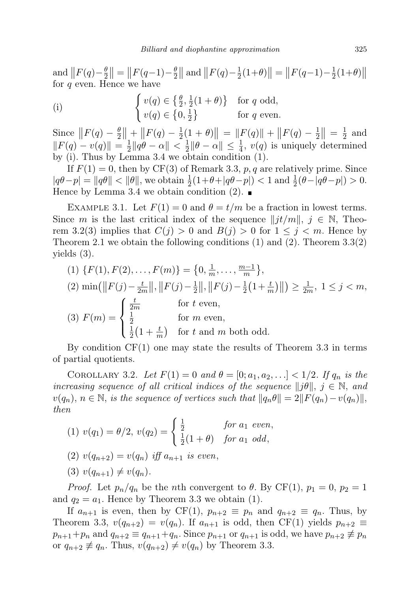and  $\left\| F(q) - \frac{\theta}{2} \right\|$  $\frac{\theta}{2}$ || = || $F(q-1) - \frac{\theta}{2}$  $\frac{\theta}{2}$ || and  $\left\| F(q) - \frac{1}{2} \right\|$  $\frac{1}{2}(1+\theta)\| = \|F(q-1)-\frac{1}{2}\|$  $\frac{1}{2}(1+\theta)$ for  $q$  even. Hence we have

(i) 
$$
\begin{cases} v(q) \in \left\{ \frac{\theta}{2}, \frac{1}{2}(1+\theta) \right\} & \text{for } q \text{ odd,} \\ v(q) \in \left\{ 0, \frac{1}{2} \right\} & \text{for } q \text{ even.} \end{cases}
$$

Since  $\left\| F(q) - \frac{\theta}{2} \right\|$  $\frac{\theta}{2}$  | + |  $F(q) - \frac{1}{2}$  $\frac{1}{2}(1+\theta)\| = \|F(q)\| + \|F(q) - \frac{1}{2}\|$  $\frac{1}{2}$  $\Big| = \frac{1}{2}$  $rac{1}{2}$  and  $||F(q) - v(q)|| = \frac{1}{2}$  $\frac{1}{2} \|q\theta - \alpha\| < \frac{1}{2}$  $\frac{1}{2} \|\theta - \alpha\| \leq \frac{1}{4}$ ,  $v(q)$  is uniquely determined by (i). Thus by Lemma 3.4 we obtain condition (1).

If  $F(1) = 0$ , then by CF(3) of Remark 3.3, p, q are relatively prime. Since  $|q\theta - p| = ||q\theta|| < ||\theta||$ , we obtain  $\frac{1}{2}(1+\theta+|q\theta-p|) < 1$  and  $\frac{1}{2}(\theta-|q\theta-p|) > 0$ . Hence by Lemma 3.4 we obtain condition (2).  $\blacksquare$ 

EXAMPLE 3.1. Let  $F(1) = 0$  and  $\theta = t/m$  be a fraction in lowest terms. Since m is the last critical index of the sequence  $||j t/m||$ ,  $j \in \mathbb{N}$ , Theorem 3.2(3) implies that  $C(j) > 0$  and  $B(j) > 0$  for  $1 \leq j \leq m$ . Hence by Theorem 2.1 we obtain the following conditions  $(1)$  and  $(2)$ . Theorem 3.3(2) yields (3).

(1) 
$$
\{F(1), F(2), \ldots, F(m)\} = \{0, \frac{1}{m}, \ldots, \frac{m-1}{m}\},
$$
  
\n(2)  $\min(\|F(j) - \frac{t}{2m}\|, \|F(j) - \frac{1}{2}\|, \|F(j) - \frac{1}{2}(1 + \frac{t}{m})\|) \ge \frac{1}{2m}, 1 \le j < m,$   
\n(3)  $F(m) = \begin{cases} \frac{t}{2m} & \text{for } t \text{ even,} \\ \frac{1}{2}(1 + \frac{t}{m}) & \text{for } t \text{ and } m \text{ both odd.} \end{cases}$ 

By condition  $CF(1)$  one may state the results of Theorem 3.3 in terms of partial quotients.

COROLLARY 3.2. Let  $F(1) = 0$  and  $\theta = [0; a_1, a_2, \ldots] < 1/2$ . If  $q_n$  is the increasing sequence of all critical indices of the sequence  $||j\theta||, j \in \mathbb{N}$ , and  $v(q_n), n \in \mathbb{N}$ , is the sequence of vertices such that  $||q_n\theta|| = 2||F(q_n)-v(q_n)||$ , then

(1) 
$$
v(q_1) = \theta/2
$$
,  $v(q_2) = \begin{cases} \frac{1}{2} & \text{for } a_1 \text{ even,} \\ \frac{1}{2}(1+\theta) & \text{for } a_1 \text{ odd,} \end{cases}$ 

- (2)  $v(q_{n+2}) = v(q_n)$  iff  $a_{n+1}$  is even,
- (3)  $v(q_{n+1}) \neq v(q_n)$ .

*Proof.* Let  $p_n/q_n$  be the *n*th convergent to  $\theta$ . By CF(1),  $p_1 = 0$ ,  $p_2 = 1$ and  $q_2 = a_1$ . Hence by Theorem 3.3 we obtain (1).

If  $a_{n+1}$  is even, then by CF(1),  $p_{n+2} \equiv p_n$  and  $q_{n+2} \equiv q_n$ . Thus, by Theorem 3.3,  $v(q_{n+2}) = v(q_n)$ . If  $a_{n+1}$  is odd, then CF(1) yields  $p_{n+2} \equiv$  $p_{n+1}+p_n$  and  $q_{n+2} \equiv q_{n+1}+q_n$ . Since  $p_{n+1}$  or  $q_{n+1}$  is odd, we have  $p_{n+2} \not\equiv p_n$ or  $q_{n+2} \not\equiv q_n$ . Thus,  $v(q_{n+2}) \not= v(q_n)$  by Theorem 3.3.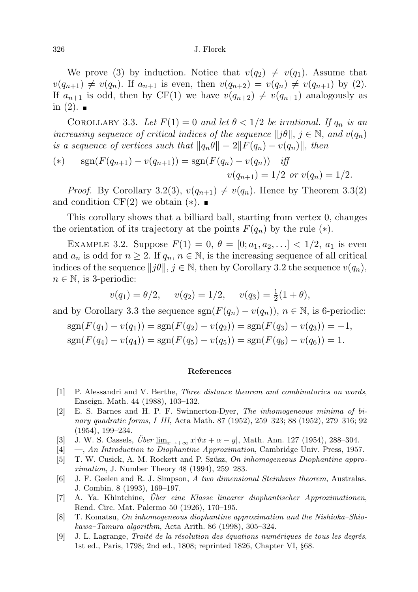## 326 J. Florek

We prove (3) by induction. Notice that  $v(q_2) \neq v(q_1)$ . Assume that  $v(q_{n+1}) \neq v(q_n)$ . If  $a_{n+1}$  is even, then  $v(q_{n+2}) = v(q_n) \neq v(q_{n+1})$  by (2). If  $a_{n+1}$  is odd, then by CF(1) we have  $v(q_{n+2}) \neq v(q_{n+1})$  analogously as in  $(2)$ .

COROLLARY 3.3. Let  $F(1) = 0$  and let  $\theta < 1/2$  be irrational. If  $q_n$  is an increasing sequence of critical indices of the sequence  $||j\theta||, j \in \mathbb{N}$ , and  $v(q_n)$ is a sequence of vertices such that  $||q_n\theta|| = 2||F(q_n) - v(q_n)||$ , then

(\*) 
$$
\text{sgn}(F(q_{n+1}) - v(q_{n+1})) = \text{sgn}(F(q_n) - v(q_n)) \text{ iff}
$$

$$
v(q_{n+1}) = 1/2 \text{ or } v(q_n) = 1/2.
$$

*Proof.* By Corollary 3.2(3),  $v(q_{n+1}) \neq v(q_n)$ . Hence by Theorem 3.3(2) and condition  $CF(2)$  we obtain  $(*)$ .

This corollary shows that a billiard ball, starting from vertex 0, changes the orientation of its trajectory at the points  $F(q_n)$  by the rule  $(*)$ .

EXAMPLE 3.2. Suppose  $F(1) = 0, \theta = [0; a_1, a_2, \ldots] < 1/2, a_1$  is even and  $a_n$  is odd for  $n \geq 2$ . If  $q_n, n \in \mathbb{N}$ , is the increasing sequence of all critical indices of the sequence  $||j\theta||, j \in \mathbb{N}$ , then by Corollary 3.2 the sequence  $v(q_n)$ ,  $n \in \mathbb{N}$ , is 3-periodic:

$$
v(q_1) = \theta/2
$$
,  $v(q_2) = 1/2$ ,  $v(q_3) = \frac{1}{2}(1 + \theta)$ ,

and by Corollary 3.3 the sequence  $sgn(F(q_n) - v(q_n))$ ,  $n \in \mathbb{N}$ , is 6-periodic:

$$
sgn(F(q_1) - v(q_1)) = sgn(F(q_2) - v(q_2)) = sgn(F(q_3) - v(q_3)) = -1,
$$
  
\n
$$
sgn(F(q_4) - v(q_4)) = sgn(F(q_5) - v(q_5)) = sgn(F(q_6) - v(q_6)) = 1.
$$

## References

- [1] P. Alessandri and V. Berthe, Three distance theorem and combinatorics on words, Enseign. Math. 44 (1988), 103–132.
- [2] E. S. Barnes and H. P. F. Swinnerton-Dyer, The inhomogeneous minima of binary quadratic forms, I–III, Acta Math. 87 (1952), 259–323; 88 (1952), 279–316; 92 (1954), 199–234.
- [3] J. W. S. Cassels,  $\ddot{U}ber \underline{\lim}_{x\to +\infty} x|\vartheta x + \alpha y|$ , Math. Ann. 127 (1954), 288–304.
- [4] —, An Introduction to Diophantine Approximation, Cambridge Univ. Press, 1957.
- [5] T. W. Cusick, A. M. Rockett and P. Szüsz, On inhomogeneous Diophantine approximation, J. Number Theory 48 (1994), 259–283.
- [6] J. F. Geelen and R. J. Simpson, A two dimensional Steinhaus theorem, Australas. J. Combin. 8 (1993), 169–197.
- [7] A. Ya. Khintchine, Über eine Klasse linearer diophantischer Approximationen, Rend. Circ. Mat. Palermo 50 (1926), 170–195.
- [8] T. Komatsu, On inhomogeneous diophantine approximation and the Nishioka–Shiokawa–Tamura algorithm, Acta Arith. 86 (1998), 305–324.
- [9] J. L. Lagrange, Traité de la résolution des équations numériques de tous les degrés, 1st ed., Paris, 1798; 2nd ed., 1808; reprinted 1826, Chapter VI, §68.